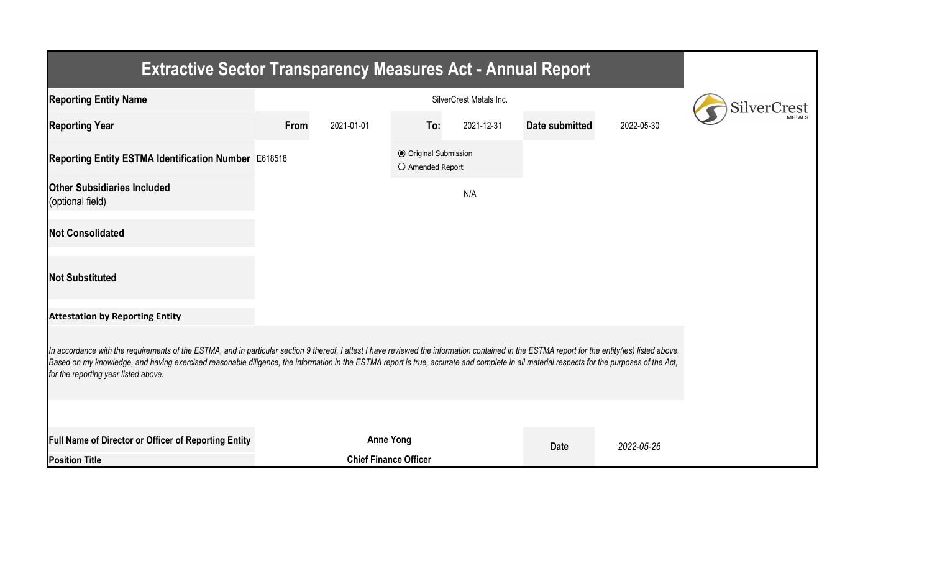| <b>Extractive Sector Transparency Measures Act - Annual Report</b>                                                                                                                                                                                                                                                                                                                                                                    |      |                              |                                                  |            |                |            |  |  |  |  |  |
|---------------------------------------------------------------------------------------------------------------------------------------------------------------------------------------------------------------------------------------------------------------------------------------------------------------------------------------------------------------------------------------------------------------------------------------|------|------------------------------|--------------------------------------------------|------------|----------------|------------|--|--|--|--|--|
| <b>Reporting Entity Name</b>                                                                                                                                                                                                                                                                                                                                                                                                          |      |                              |                                                  |            |                |            |  |  |  |  |  |
| <b>Reporting Year</b>                                                                                                                                                                                                                                                                                                                                                                                                                 | From | 2021-01-01                   | To:                                              | 2021-12-31 | Date submitted | 2022-05-30 |  |  |  |  |  |
| Reporting Entity ESTMA Identification Number E618518                                                                                                                                                                                                                                                                                                                                                                                  |      |                              | <b>● Original Submission</b><br>O Amended Report |            |                |            |  |  |  |  |  |
| <b>Other Subsidiaries Included</b><br>(optional field)                                                                                                                                                                                                                                                                                                                                                                                |      |                              |                                                  | N/A        |                |            |  |  |  |  |  |
| <b>Not Consolidated</b>                                                                                                                                                                                                                                                                                                                                                                                                               |      |                              |                                                  |            |                |            |  |  |  |  |  |
| <b>Not Substituted</b>                                                                                                                                                                                                                                                                                                                                                                                                                |      |                              |                                                  |            |                |            |  |  |  |  |  |
| <b>Attestation by Reporting Entity</b>                                                                                                                                                                                                                                                                                                                                                                                                |      |                              |                                                  |            |                |            |  |  |  |  |  |
| In accordance with the requirements of the ESTMA, and in particular section 9 thereof, I attest I have reviewed the information contained in the ESTMA report for the entity(ies) listed above.<br>Based on my knowledge, and having exercised reasonable diligence, the information in the ESTMA report is true, accurate and complete in all material respects for the purposes of the Act,<br>for the reporting year listed above. |      |                              |                                                  |            |                |            |  |  |  |  |  |
|                                                                                                                                                                                                                                                                                                                                                                                                                                       |      |                              |                                                  |            |                |            |  |  |  |  |  |
| <b>Full Name of Director or Officer of Reporting Entity</b>                                                                                                                                                                                                                                                                                                                                                                           |      | <b>Anne Yong</b>             |                                                  |            | <b>Date</b>    | 2022-05-26 |  |  |  |  |  |
| <b>Position Title</b>                                                                                                                                                                                                                                                                                                                                                                                                                 |      | <b>Chief Finance Officer</b> |                                                  |            |                |            |  |  |  |  |  |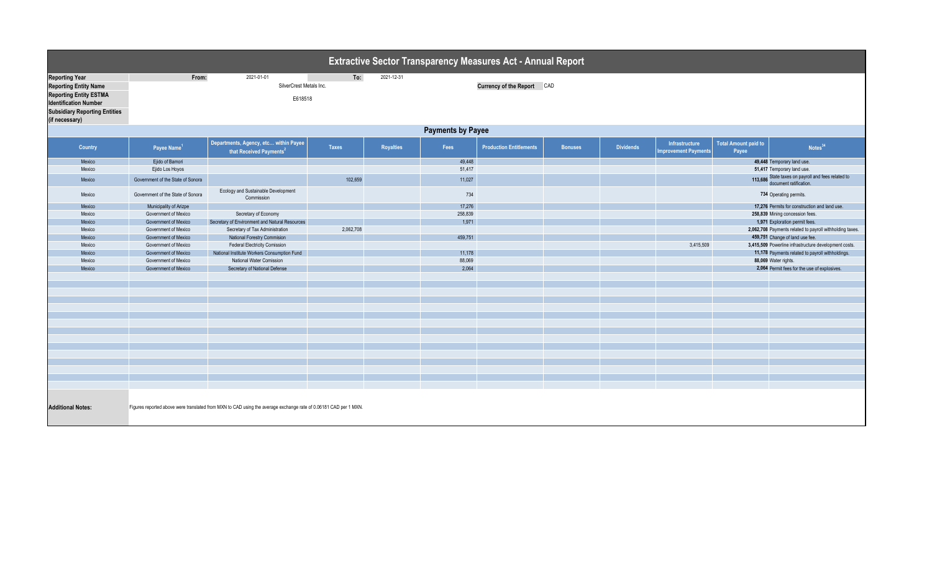| <b>Extractive Sector Transparency Measures Act - Annual Report</b>                                                                                                               |                                   |                                                                              |           |            |         |                                                       |                |                  |                                              |                                      |                                                                              |  |  |
|----------------------------------------------------------------------------------------------------------------------------------------------------------------------------------|-----------------------------------|------------------------------------------------------------------------------|-----------|------------|---------|-------------------------------------------------------|----------------|------------------|----------------------------------------------|--------------------------------------|------------------------------------------------------------------------------|--|--|
| <b>Reporting Year</b><br><b>Reporting Entity Name</b><br><b>Reporting Entity ESTMA</b><br><b>Identification Number</b><br><b>Subsidiary Reporting Entities</b><br>(if necessary) | From:                             | 2021-01-01<br>SilverCrest Metals Inc.<br>E618518                             | To:       | 2021-12-31 |         | Currency of the Report CAD                            |                |                  |                                              |                                      |                                                                              |  |  |
|                                                                                                                                                                                  | <b>Payments by Payee</b>          |                                                                              |           |            |         |                                                       |                |                  |                                              |                                      |                                                                              |  |  |
| Country                                                                                                                                                                          | Payee Name <sup>1</sup>           | Departments, Agency, etc within Payee<br>that Received Payments <sup>2</sup> | Taxes     | Royalties  | Fees    | <b>Production Entitlements</b>                        | <b>Bonuses</b> | <b>Dividends</b> | <b>Infrastructure</b><br>nprovement Payments | <b>Total Amount paid to</b><br>Payee | Notes <sup>34</sup>                                                          |  |  |
| Mexico                                                                                                                                                                           | Ejido of Bamori                   |                                                                              |           |            | 49,448  |                                                       |                |                  |                                              |                                      | 49,448 Temporary land use.                                                   |  |  |
| Mexico                                                                                                                                                                           | Ejido Los Hoyos                   |                                                                              |           |            | 51,417  |                                                       |                |                  |                                              |                                      | 51,417 Temporary land use.                                                   |  |  |
| Mexico                                                                                                                                                                           | Government of the State of Sonora |                                                                              | 102,659   |            | 11,027  |                                                       |                |                  |                                              |                                      | 113,686 State taxes on payroll and fees related to<br>document ratification. |  |  |
| Mexico                                                                                                                                                                           | Government of the State of Sonora | Ecology and Sustainable Development<br>Commission                            |           |            | 734     |                                                       |                |                  |                                              |                                      | 734 Operating permits.                                                       |  |  |
| Mexico                                                                                                                                                                           | Municipality of Arizpe            |                                                                              |           |            | 17,276  |                                                       |                |                  |                                              |                                      | 17,276 Permits for construction and land use.                                |  |  |
| Mexico                                                                                                                                                                           | Government of Mexico              | Secretary of Economy                                                         |           |            | 258,839 |                                                       |                |                  |                                              |                                      | 258,839 Mining concession fees.                                              |  |  |
| Mexico                                                                                                                                                                           | Government of Mexico              | Secretary of Environment and Natural Resources                               |           |            | 1,971   |                                                       |                |                  |                                              |                                      | 1,971 Exploration permit fees.                                               |  |  |
| Mexico                                                                                                                                                                           | Government of Mexico              | Secretary of Tax Administration                                              | 2,062,708 |            |         |                                                       |                |                  |                                              |                                      | 2,062,708 Payments related to payroll withholding taxes.                     |  |  |
| Mexico                                                                                                                                                                           | Government of Mexico              | National Forestry Commision                                                  |           |            | 459,751 |                                                       |                |                  |                                              |                                      | 459,751 Change of land use fee.                                              |  |  |
| Mexico                                                                                                                                                                           | Government of Mexico              | <b>Federal Electricity Comission</b>                                         |           |            |         |                                                       |                |                  | 3,415,509                                    |                                      | 3,415,509 Powerline infrastructure development costs.                        |  |  |
| Mexico                                                                                                                                                                           | Government of Mexico              | National Institute Workers Consumption Fund                                  |           |            | 11,178  |                                                       |                |                  |                                              |                                      | 11,178 Payments related to payroll withholdings.                             |  |  |
| Mexico                                                                                                                                                                           | Government of Mexico              | National Water Comission                                                     |           |            | 88,069  |                                                       |                |                  |                                              |                                      | 88,069 Water rights.                                                         |  |  |
| Mexico                                                                                                                                                                           | Government of Mexico              | Secretary of National Defense                                                |           |            |         | 2,064<br>2,064 Permit fees for the use of explosives. |                |                  |                                              |                                      |                                                                              |  |  |
|                                                                                                                                                                                  |                                   |                                                                              |           |            |         |                                                       |                |                  |                                              |                                      |                                                                              |  |  |
|                                                                                                                                                                                  |                                   |                                                                              |           |            |         |                                                       |                |                  |                                              |                                      |                                                                              |  |  |
|                                                                                                                                                                                  |                                   |                                                                              |           |            |         |                                                       |                |                  |                                              |                                      |                                                                              |  |  |
|                                                                                                                                                                                  |                                   |                                                                              |           |            |         |                                                       |                |                  |                                              |                                      |                                                                              |  |  |
|                                                                                                                                                                                  |                                   |                                                                              |           |            |         |                                                       |                |                  |                                              |                                      |                                                                              |  |  |
|                                                                                                                                                                                  |                                   |                                                                              |           |            |         |                                                       |                |                  |                                              |                                      |                                                                              |  |  |
|                                                                                                                                                                                  |                                   |                                                                              |           |            |         |                                                       |                |                  |                                              |                                      |                                                                              |  |  |
|                                                                                                                                                                                  |                                   |                                                                              |           |            |         |                                                       |                |                  |                                              |                                      |                                                                              |  |  |
|                                                                                                                                                                                  |                                   |                                                                              |           |            |         |                                                       |                |                  |                                              |                                      |                                                                              |  |  |
|                                                                                                                                                                                  |                                   |                                                                              |           |            |         |                                                       |                |                  |                                              |                                      |                                                                              |  |  |
|                                                                                                                                                                                  |                                   |                                                                              |           |            |         |                                                       |                |                  |                                              |                                      |                                                                              |  |  |
|                                                                                                                                                                                  |                                   |                                                                              |           |            |         |                                                       |                |                  |                                              |                                      |                                                                              |  |  |
|                                                                                                                                                                                  |                                   |                                                                              |           |            |         |                                                       |                |                  |                                              |                                      |                                                                              |  |  |
|                                                                                                                                                                                  |                                   |                                                                              |           |            |         |                                                       |                |                  |                                              |                                      |                                                                              |  |  |
| <b>Additional Notes:</b><br>Figures reported above were translated from MXN to CAD using the average exchange rate of 0.06181 CAD per 1 MXN.                                     |                                   |                                                                              |           |            |         |                                                       |                |                  |                                              |                                      |                                                                              |  |  |